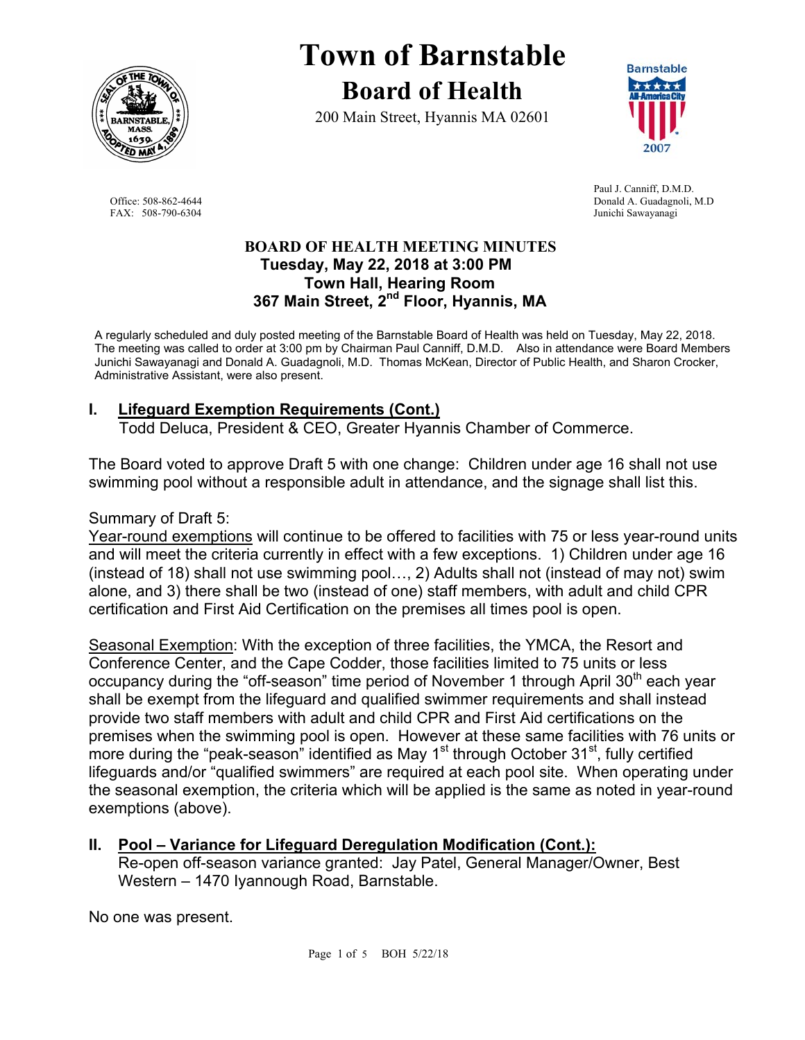

# **Town of Barnstable Board of Health**

200 Main Street, Hyannis MA 02601



 Paul J. Canniff, D.M.D. Office: 508-862-4644 Donald A. Guadagnoli, M.D FAX: 508-790-6304 Junichi Sawayanagi

#### **BOARD OF HEALTH MEETING MINUTES Tuesday, May 22, 2018 at 3:00 PM Town Hall, Hearing Room 367 Main Street, 2nd Floor, Hyannis, MA**

A regularly scheduled and duly posted meeting of the Barnstable Board of Health was held on Tuesday, May 22, 2018. The meeting was called to order at 3:00 pm by Chairman Paul Canniff, D.M.D. Also in attendance were Board Members Junichi Sawayanagi and Donald A. Guadagnoli, M.D. Thomas McKean, Director of Public Health, and Sharon Crocker, Administrative Assistant, were also present.

# **I. Lifeguard Exemption Requirements (Cont.)**

Todd Deluca, President & CEO, Greater Hyannis Chamber of Commerce.

The Board voted to approve Draft 5 with one change: Children under age 16 shall not use swimming pool without a responsible adult in attendance, and the signage shall list this.

Summary of Draft 5:

Year-round exemptions will continue to be offered to facilities with 75 or less year-round units and will meet the criteria currently in effect with a few exceptions. 1) Children under age 16 (instead of 18) shall not use swimming pool…, 2) Adults shall not (instead of may not) swim alone, and 3) there shall be two (instead of one) staff members, with adult and child CPR certification and First Aid Certification on the premises all times pool is open.

Seasonal Exemption: With the exception of three facilities, the YMCA, the Resort and Conference Center, and the Cape Codder, those facilities limited to 75 units or less occupancy during the "off-season" time period of November 1 through April  $30<sup>th</sup>$  each year shall be exempt from the lifeguard and qualified swimmer requirements and shall instead provide two staff members with adult and child CPR and First Aid certifications on the premises when the swimming pool is open. However at these same facilities with 76 units or more during the "peak-season" identified as May 1<sup>st</sup> through October 31<sup>st</sup>, fully certified lifeguards and/or "qualified swimmers" are required at each pool site. When operating under the seasonal exemption, the criteria which will be applied is the same as noted in year-round exemptions (above).

# **II. Pool – Variance for Lifeguard Deregulation Modification (Cont.):**

Re-open off-season variance granted: Jay Patel, General Manager/Owner, Best Western – 1470 Iyannough Road, Barnstable.

No one was present.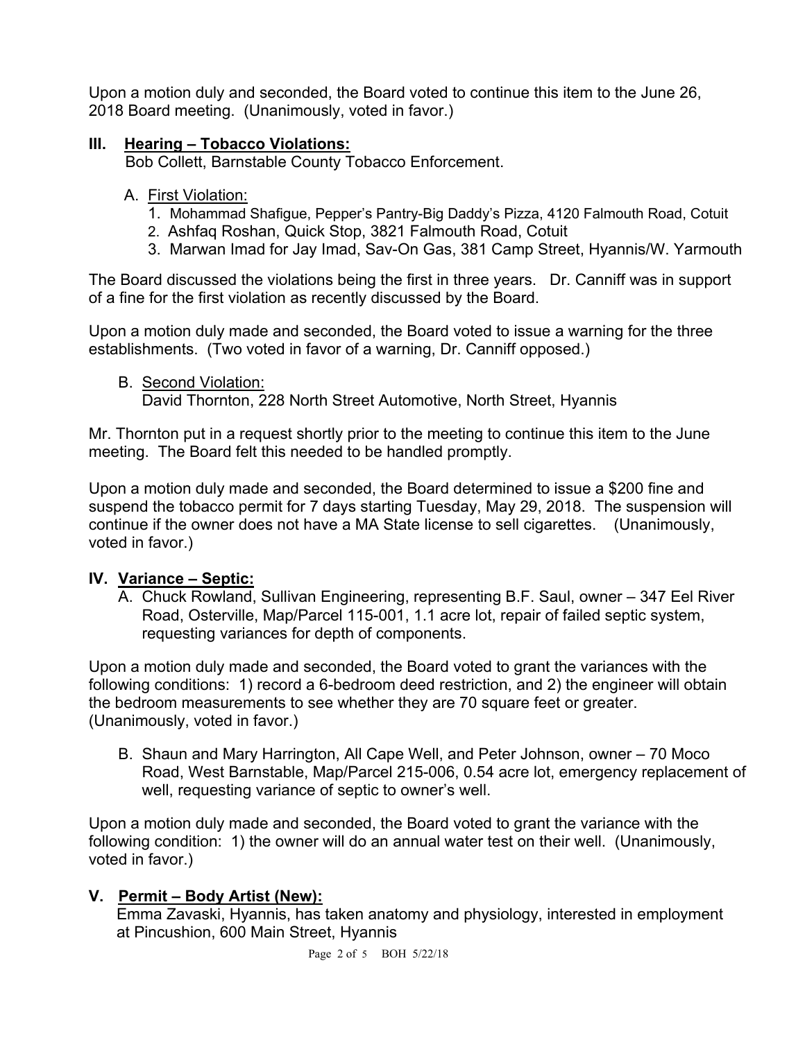Upon a motion duly and seconded, the Board voted to continue this item to the June 26, 2018 Board meeting. (Unanimously, voted in favor.)

#### **III. Hearing – Tobacco Violations:**

Bob Collett, Barnstable County Tobacco Enforcement.

- A. First Violation:
	- 1. Mohammad Shafigue, Pepper's Pantry-Big Daddy's Pizza, 4120 Falmouth Road, Cotuit
	- 2. Ashfaq Roshan, Quick Stop, 3821 Falmouth Road, Cotuit
	- 3. Marwan Imad for Jay Imad, Sav-On Gas, 381 Camp Street, Hyannis/W. Yarmouth

The Board discussed the violations being the first in three years. Dr. Canniff was in support of a fine for the first violation as recently discussed by the Board.

Upon a motion duly made and seconded, the Board voted to issue a warning for the three establishments. (Two voted in favor of a warning, Dr. Canniff opposed.)

B. Second Violation:

David Thornton, 228 North Street Automotive, North Street, Hyannis

Mr. Thornton put in a request shortly prior to the meeting to continue this item to the June meeting. The Board felt this needed to be handled promptly.

Upon a motion duly made and seconded, the Board determined to issue a \$200 fine and suspend the tobacco permit for 7 days starting Tuesday, May 29, 2018. The suspension will continue if the owner does not have a MA State license to sell cigarettes. (Unanimously, voted in favor.)

#### **IV. Variance – Septic:**

A. Chuck Rowland, Sullivan Engineering, representing B.F. Saul, owner – 347 Eel River Road, Osterville, Map/Parcel 115-001, 1.1 acre lot, repair of failed septic system, requesting variances for depth of components.

Upon a motion duly made and seconded, the Board voted to grant the variances with the following conditions: 1) record a 6-bedroom deed restriction, and 2) the engineer will obtain the bedroom measurements to see whether they are 70 square feet or greater. (Unanimously, voted in favor.)

B. Shaun and Mary Harrington, All Cape Well, and Peter Johnson, owner – 70 Moco Road, West Barnstable, Map/Parcel 215-006, 0.54 acre lot, emergency replacement of well, requesting variance of septic to owner's well.

Upon a motion duly made and seconded, the Board voted to grant the variance with the following condition: 1) the owner will do an annual water test on their well. (Unanimously, voted in favor.)

#### **V. Permit – Body Artist (New):**

Emma Zavaski, Hyannis, has taken anatomy and physiology, interested in employment at Pincushion, 600 Main Street, Hyannis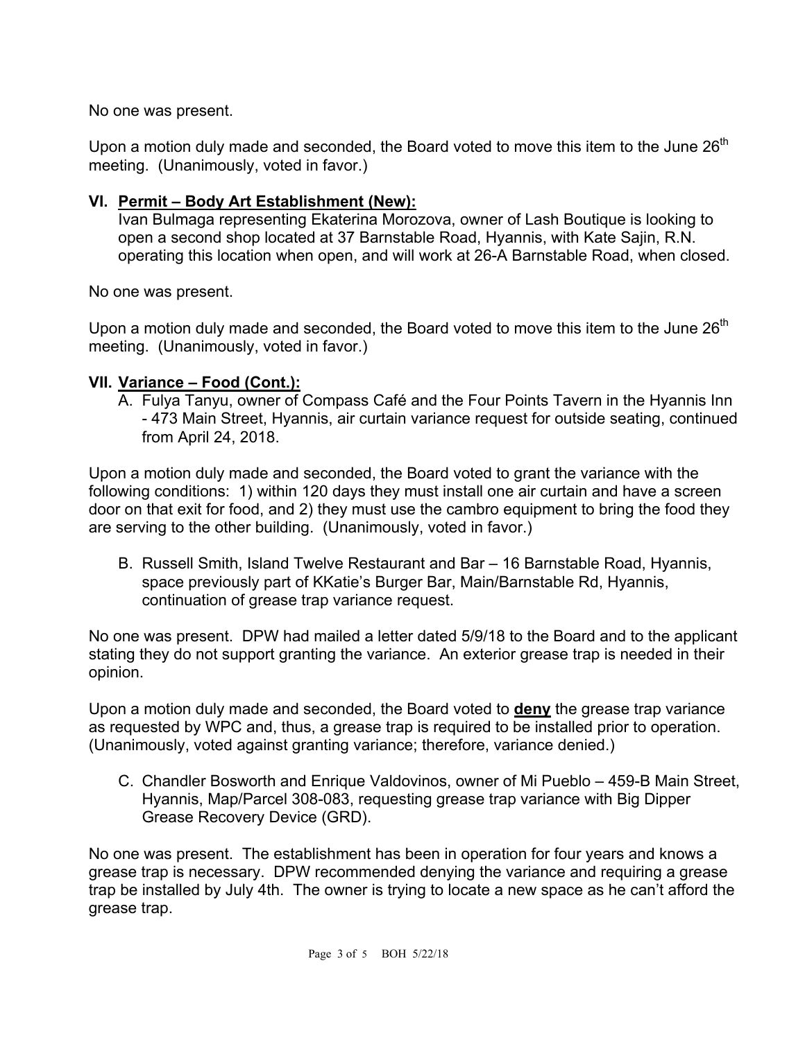No one was present.

Upon a motion duly made and seconded, the Board voted to move this item to the June  $26<sup>th</sup>$ meeting. (Unanimously, voted in favor.)

#### **VI. Permit – Body Art Establishment (New):**

Ivan Bulmaga representing Ekaterina Morozova, owner of Lash Boutique is looking to open a second shop located at 37 Barnstable Road, Hyannis, with Kate Sajin, R.N. operating this location when open, and will work at 26-A Barnstable Road, when closed.

No one was present.

Upon a motion duly made and seconded, the Board voted to move this item to the June  $26<sup>th</sup>$ meeting. (Unanimously, voted in favor.)

#### **VII. Variance – Food (Cont.):**

A. Fulya Tanyu, owner of Compass Café and the Four Points Tavern in the Hyannis Inn - 473 Main Street, Hyannis, air curtain variance request for outside seating, continued from April 24, 2018.

Upon a motion duly made and seconded, the Board voted to grant the variance with the following conditions: 1) within 120 days they must install one air curtain and have a screen door on that exit for food, and 2) they must use the cambro equipment to bring the food they are serving to the other building. (Unanimously, voted in favor.)

B. Russell Smith, Island Twelve Restaurant and Bar – 16 Barnstable Road, Hyannis, space previously part of KKatie's Burger Bar, Main/Barnstable Rd, Hyannis, continuation of grease trap variance request.

No one was present. DPW had mailed a letter dated 5/9/18 to the Board and to the applicant stating they do not support granting the variance. An exterior grease trap is needed in their opinion.

Upon a motion duly made and seconded, the Board voted to **deny** the grease trap variance as requested by WPC and, thus, a grease trap is required to be installed prior to operation. (Unanimously, voted against granting variance; therefore, variance denied.)

C. Chandler Bosworth and Enrique Valdovinos, owner of Mi Pueblo – 459-B Main Street, Hyannis, Map/Parcel 308-083, requesting grease trap variance with Big Dipper Grease Recovery Device (GRD).

No one was present. The establishment has been in operation for four years and knows a grease trap is necessary. DPW recommended denying the variance and requiring a grease trap be installed by July 4th. The owner is trying to locate a new space as he can't afford the grease trap.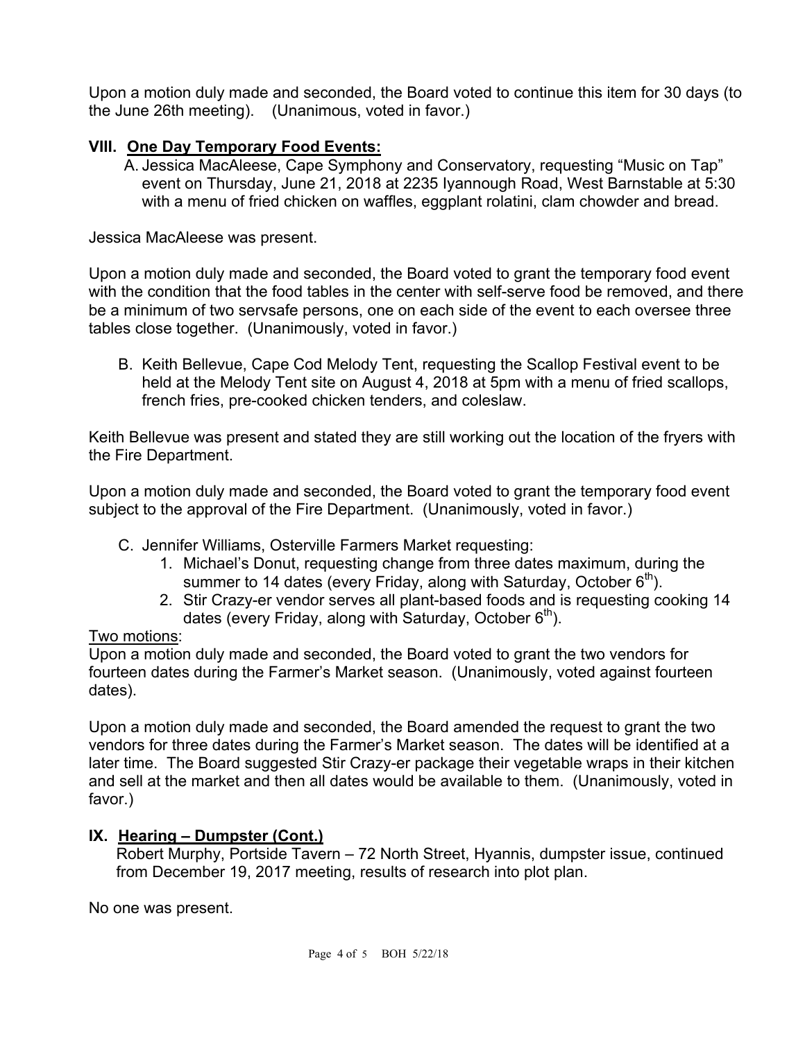Upon a motion duly made and seconded, the Board voted to continue this item for 30 days (to the June 26th meeting). (Unanimous, voted in favor.)

# **VIII. One Day Temporary Food Events:**

A. Jessica MacAleese, Cape Symphony and Conservatory, requesting "Music on Tap" event on Thursday, June 21, 2018 at 2235 Iyannough Road, West Barnstable at 5:30 with a menu of fried chicken on waffles, eggplant rolatini, clam chowder and bread.

Jessica MacAleese was present.

Upon a motion duly made and seconded, the Board voted to grant the temporary food event with the condition that the food tables in the center with self-serve food be removed, and there be a minimum of two servsafe persons, one on each side of the event to each oversee three tables close together. (Unanimously, voted in favor.)

B. Keith Bellevue, Cape Cod Melody Tent, requesting the Scallop Festival event to be held at the Melody Tent site on August 4, 2018 at 5pm with a menu of fried scallops, french fries, pre-cooked chicken tenders, and coleslaw.

Keith Bellevue was present and stated they are still working out the location of the fryers with the Fire Department.

Upon a motion duly made and seconded, the Board voted to grant the temporary food event subject to the approval of the Fire Department. (Unanimously, voted in favor.)

- C. Jennifer Williams, Osterville Farmers Market requesting:
	- 1. Michael's Donut, requesting change from three dates maximum, during the summer to 14 dates (every Friday, along with Saturday, October  $6<sup>th</sup>$ ).
	- 2. Stir Crazy-er vendor serves all plant-based foods and is requesting cooking 14 dates (every Friday, along with Saturday, October  $6<sup>th</sup>$ ).

#### Two motions:

Upon a motion duly made and seconded, the Board voted to grant the two vendors for fourteen dates during the Farmer's Market season. (Unanimously, voted against fourteen dates).

Upon a motion duly made and seconded, the Board amended the request to grant the two vendors for three dates during the Farmer's Market season. The dates will be identified at a later time. The Board suggested Stir Crazy-er package their vegetable wraps in their kitchen and sell at the market and then all dates would be available to them. (Unanimously, voted in favor.)

#### **IX. Hearing – Dumpster (Cont.)**

Robert Murphy, Portside Tavern – 72 North Street, Hyannis, dumpster issue, continued from December 19, 2017 meeting, results of research into plot plan.

No one was present.